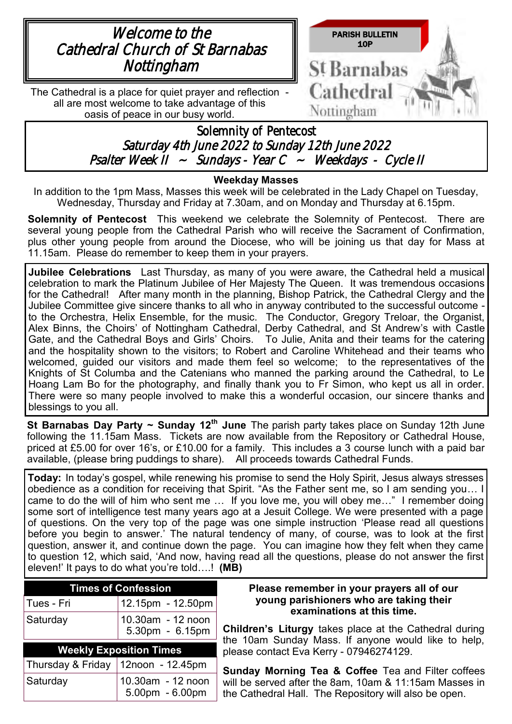

### **Weekday Masses**

In addition to the 1pm Mass, Masses this week will be celebrated in the Lady Chapel on Tuesday, Wednesday, Thursday and Friday at 7.30am, and on Monday and Thursday at 6.15pm.

**Solemnity of Pentecost** This weekend we celebrate the Solemnity of Pentecost. There are several young people from the Cathedral Parish who will receive the Sacrament of Confirmation, plus other young people from around the Diocese, who will be joining us that day for Mass at 11.15am. Please do remember to keep them in your prayers.

**Jubilee Celebrations** Last Thursday, as many of you were aware, the Cathedral held a musical celebration to mark the Platinum Jubilee of Her Majesty The Queen. It was tremendous occasions for the Cathedral! After many month in the planning, Bishop Patrick, the Cathedral Clergy and the Jubilee Committee give sincere thanks to all who in anyway contributed to the successful outcome to the Orchestra, Helix Ensemble, for the music. The Conductor, Gregory Treloar, the Organist, Alex Binns, the Choirs' of Nottingham Cathedral, Derby Cathedral, and St Andrew's with Castle Gate, and the Cathedral Boys and Girls' Choirs. To Julie, Anita and their teams for the catering and the hospitality shown to the visitors; to Robert and Caroline Whitehead and their teams who welcomed, guided our visitors and made them feel so welcome; to the representatives of the Knights of St Columba and the Catenians who manned the parking around the Cathedral, to Le Hoang Lam Bo for the photography, and finally thank you to Fr Simon, who kept us all in order. There were so many people involved to make this a wonderful occasion, our sincere thanks and blessings to you all.

**St Barnabas Day Party ~ Sunday 12th June** The parish party takes place on Sunday 12th June following the 11.15am Mass. Tickets are now available from the Repository or Cathedral House, priced at £5.00 for over 16's, or £10.00 for a family. This includes a 3 course lunch with a paid bar available, (please bring puddings to share). All proceeds towards Cathedral Funds.

**Today:** In today's gospel, while renewing his promise to send the Holy Spirit, Jesus always stresses obedience as a condition for receiving that Spirit. "As the Father sent me, so I am sending you… I came to do the will of him who sent me … If you love me, you will obey me…" I remember doing some sort of intelligence test many years ago at a Jesuit College. We were presented with a page of questions. On the very top of the page was one simple instruction 'Please read all questions before you begin to answer.' The natural tendency of many, of course, was to look at the first question, answer it, and continue down the page. You can imagine how they felt when they came to question 12, which said, 'And now, having read all the questions, please do not answer the first eleven!' It pays to do what you're told….! **(MB)** 

| Times of Confession |                                      |  |  |
|---------------------|--------------------------------------|--|--|
| ⊺Tues - Fri         | $ 12.15$ pm - 12.50pm                |  |  |
| ∣Saturdaγ           | 10.30am - 12 noon<br>5.30pm - 6.15pm |  |  |

| <b>Weekly Exposition Times</b>     |                                          |  |  |  |
|------------------------------------|------------------------------------------|--|--|--|
| Thursday & Friday 12noon - 12.45pm |                                          |  |  |  |
| Saturday                           | $ 10.30$ am - 12 noon<br>5.00pm - 6.00pm |  |  |  |

### **Please remember in your prayers all of our young parishioners who are taking their examinations at this time.**

**Children's Liturgy** takes place at the Cathedral during the 10am Sunday Mass. If anyone would like to help, please contact Eva Kerry - 07946274129.

**Sunday Morning Tea & Coffee** Tea and Filter coffees will be served after the 8am, 10am & 11:15am Masses in the Cathedral Hall. The Repository will also be open.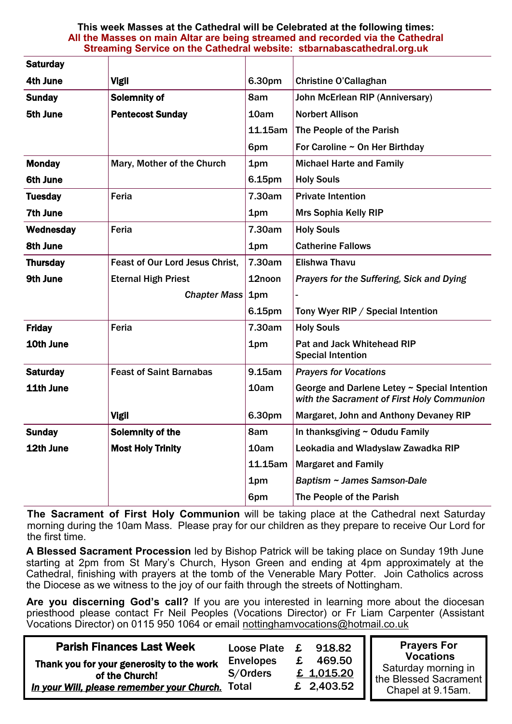#### **This week Masses at the Cathedral will be Celebrated at the following times: All the Masses on main Altar are being streamed and recorded via the Cathedral Streaming Service on the Cathedral website: stbarnabascathedral.org.uk**

| <b>Saturday</b> |                                        |         |                                                                                            |  |  |
|-----------------|----------------------------------------|---------|--------------------------------------------------------------------------------------------|--|--|
| 4th June        | <b>Vigil</b>                           | 6.30pm  | <b>Christine O'Callaghan</b>                                                               |  |  |
| <b>Sunday</b>   | Solemnity of                           | 8am     | John McErlean RIP (Anniversary)                                                            |  |  |
| 5th June        | <b>Pentecost Sunday</b>                | 10am    | <b>Norbert Allison</b>                                                                     |  |  |
|                 |                                        | 11.15am | The People of the Parish                                                                   |  |  |
|                 |                                        | 6pm     | For Caroline ~ On Her Birthday                                                             |  |  |
| <b>Monday</b>   | Mary, Mother of the Church             | 1pm     | <b>Michael Harte and Family</b>                                                            |  |  |
| 6th June        |                                        | 6.15pm  | <b>Holy Souls</b>                                                                          |  |  |
| <b>Tuesday</b>  | Feria                                  | 7.30am  | <b>Private Intention</b>                                                                   |  |  |
| <b>7th June</b> |                                        | 1pm     | <b>Mrs Sophia Kelly RIP</b>                                                                |  |  |
| Wednesday       | Feria                                  | 7.30am  | <b>Holy Souls</b>                                                                          |  |  |
| <b>8th June</b> |                                        | 1pm     | <b>Catherine Fallows</b>                                                                   |  |  |
| <b>Thursday</b> | <b>Feast of Our Lord Jesus Christ.</b> | 7.30am  | <b>Elishwa Thavu</b>                                                                       |  |  |
| 9th June        | <b>Eternal High Priest</b>             | 12noon  | Prayers for the Suffering, Sick and Dying                                                  |  |  |
|                 | Chapter Mass 1pm                       |         |                                                                                            |  |  |
|                 |                                        | 6.15pm  | Tony Wyer RIP / Special Intention                                                          |  |  |
| <b>Friday</b>   | Feria                                  | 7.30am  | <b>Holy Souls</b>                                                                          |  |  |
| 10th June       |                                        | 1pm     | <b>Pat and Jack Whitehead RIP</b><br><b>Special Intention</b>                              |  |  |
| <b>Saturday</b> | <b>Feast of Saint Barnabas</b>         | 9.15am  | <b>Prayers for Vocations</b>                                                               |  |  |
| 11th June       |                                        | 10am    | George and Darlene Letey ~ Special Intention<br>with the Sacrament of First Holy Communion |  |  |
|                 | <b>Vigil</b>                           | 6.30pm  | Margaret, John and Anthony Devaney RIP                                                     |  |  |
| <b>Sunday</b>   | Solemnity of the                       | 8am     | In thanksgiving ~ Odudu Family                                                             |  |  |
| 12th June       | <b>Most Holy Trinity</b>               | 10am    | Leokadia and Wladyslaw Zawadka RIP                                                         |  |  |
|                 |                                        | 11.15am | <b>Margaret and Family</b>                                                                 |  |  |
|                 |                                        | 1pm     | <b>Baptism ~ James Samson-Dale</b>                                                         |  |  |
|                 |                                        | 6pm     | The People of the Parish                                                                   |  |  |

**The Sacrament of First Holy Communion** will be taking place at the Cathedral next Saturday morning during the 10am Mass. Please pray for our children as they prepare to receive Our Lord for the first time.

**A Blessed Sacrament Procession** led by Bishop Patrick will be taking place on Sunday 19th June starting at 2pm from St Mary's Church, Hyson Green and ending at 4pm approximately at the Cathedral, finishing with prayers at the tomb of the Venerable Mary Potter. Join Catholics across the Diocese as we witness to the joy of our faith through the streets of Nottingham.

**Are you discerning God's call?** If you are you interested in learning more about the diocesan priesthood please contact Fr Neil Peoples (Vocations Director) or Fr Liam Carpenter (Assistant Vocations Director) on 0115 950 1064 or email [nottinghamvocations@hotmail.co.uk](mailto:nottinghamvocations@hotmail.co.uk) 

| <b>Parish Finances Last Week</b>                                                                                | Loose Plate £                | 918.82                             | <b>Prayers For</b><br><b>Vocations</b>                            |
|-----------------------------------------------------------------------------------------------------------------|------------------------------|------------------------------------|-------------------------------------------------------------------|
| Thank you for your generosity to the work<br>of the Church!<br>In your Will, please remember your Church. Total | <b>Envelopes</b><br>S/Orders | 469.50<br>£ 1,015.20<br>£ 2,403.52 | Saturday morning in<br>the Blessed Sacrament<br>Chapel at 9.15am. |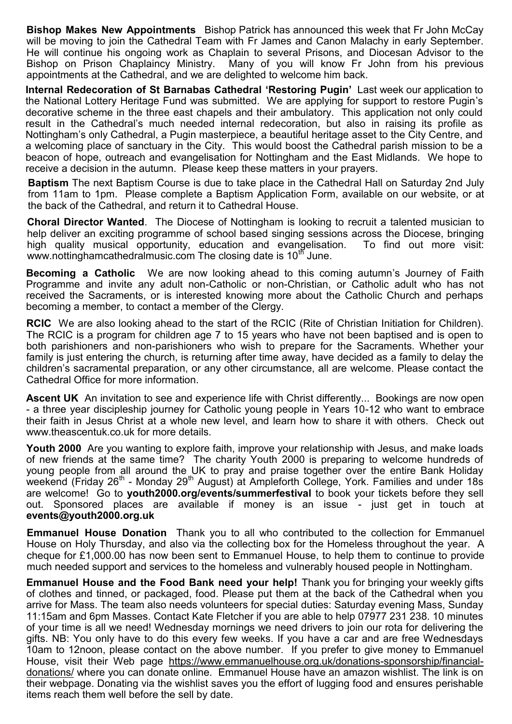**Bishop Makes New Appointments** Bishop Patrick has announced this week that Fr John McCay will be moving to join the Cathedral Team with Fr James and Canon Malachy in early September. He will continue his ongoing work as Chaplain to several Prisons, and Diocesan Advisor to the Bishop on Prison Chaplaincy Ministry. Many of you will know Fr John from his previous appointments at the Cathedral, and we are delighted to welcome him back.

**Internal Redecoration of St Barnabas Cathedral 'Restoring Pugin'** Last week our application to the National Lottery Heritage Fund was submitted. We are applying for support to restore Pugin's decorative scheme in the three east chapels and their ambulatory. This application not only could result in the Cathedral's much needed internal redecoration, but also in raising its profile as Nottingham's only Cathedral, a Pugin masterpiece, a beautiful heritage asset to the City Centre, and a welcoming place of sanctuary in the City. This would boost the Cathedral parish mission to be a beacon of hope, outreach and evangelisation for Nottingham and the East Midlands. We hope to receive a decision in the autumn. Please keep these matters in your prayers.

**Baptism** The next Baptism Course is due to take place in the Cathedral Hall on Saturday 2nd July from 11am to 1pm. Please complete a Baptism Application Form, available on our website, or at the back of the Cathedral, and return it to Cathedral House.

**Choral Director Wanted**. The Diocese of Nottingham is looking to recruit a talented musician to help deliver an exciting programme of school based singing sessions across the Diocese, bringing high quality musical opportunity, education and evangelisation. To find out more visit: www.nottinghamcathedralmusic.com The closing date is 10<sup>th</sup> June.

**Becoming a Catholic** We are now looking ahead to this coming autumn's Journey of Faith Programme and invite any adult non-Catholic or non-Christian, or Catholic adult who has not received the Sacraments, or is interested knowing more about the Catholic Church and perhaps becoming a member, to contact a member of the Clergy.

**RCIC** We are also looking ahead to the start of the RCIC (Rite of Christian Initiation for Children). The RCIC is a program for children age 7 to 15 years who have not been baptised and is open to both parishioners and non-parishioners who wish to prepare for the Sacraments. Whether your family is just entering the church, is returning after time away, have decided as a family to delay the children's sacramental preparation, or any other circumstance, all are welcome. Please contact the Cathedral Office for more information.

**Ascent UK** An invitation to see and experience life with Christ differently... Bookings are now open - a three year discipleship journey for Catholic young people in Years 10-12 who want to embrace their faith in Jesus Christ at a whole new level, and learn how to share it with others. Check out www.theascentuk.co.uk for more details.

**Youth 2000** Are you wanting to explore faith, improve your relationship with Jesus, and make loads of new friends at the same time? The charity Youth 2000 is preparing to welcome hundreds of young people from all around the UK to pray and praise together over the entire Bank Holiday weekend (Friday 26 $^{\text{th}}$  - Monday 29 $^{\text{th}}$  August) at Ampleforth College, York. Families and under 18s are welcome! Go to **youth2000.org/events/summerfestival** to book your tickets before they sell out. Sponsored places are available if money is an issue - just get in touch at **events@youth2000.org.uk**

**Emmanuel House Donation** Thank you to all who contributed to the collection for Emmanuel House on Holy Thursday, and also via the collecting box for the Homeless throughout the year. A cheque for £1,000.00 has now been sent to Emmanuel House, to help them to continue to provide much needed support and services to the homeless and vulnerably housed people in Nottingham.

**Emmanuel House and the Food Bank need your help!** Thank you for bringing your weekly gifts of clothes and tinned, or packaged, food. Please put them at the back of the Cathedral when you arrive for Mass. The team also needs volunteers for special duties: Saturday evening Mass, Sunday 11:15am and 6pm Masses. Contact Kate Fletcher if you are able to help 07977 231 238. 10 minutes of your time is all we need! Wednesday mornings we need drivers to join our rota for delivering the gifts. NB: You only have to do this every few weeks. If you have a car and are free Wednesdays 10am to 12noon, please contact on the above number. If you prefer to give money to Emmanuel House, visit their Web page [https://www.emmanuelhouse.org.uk/donations-sponsorship/financial](https://www.emmanuelhouse.org.uk/donations-sponsorship/financial-donations/)[donations/](https://www.emmanuelhouse.org.uk/donations-sponsorship/financial-donations/) where you can donate online. Emmanuel House have an amazon wishlist. The link is on their webpage. Donating via the wishlist saves you the effort of lugging food and ensures perishable items reach them well before the sell by date.